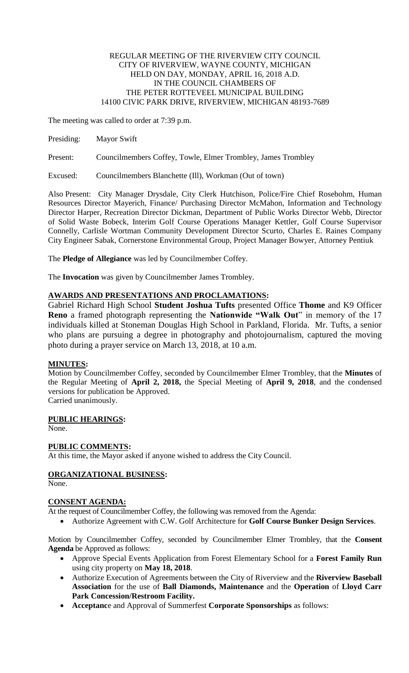#### REGULAR MEETING OF THE RIVERVIEW CITY COUNCIL CITY OF RIVERVIEW, WAYNE COUNTY, MICHIGAN HELD ON DAY, MONDAY, APRIL 16, 2018 A.D. IN THE COUNCIL CHAMBERS OF THE PETER ROTTEVEEL MUNICIPAL BUILDING 14100 CIVIC PARK DRIVE, RIVERVIEW, MICHIGAN 48193-7689

The meeting was called to order at 7:39 p.m.

Presiding: Mayor Swift

Present: Councilmembers Coffey, Towle, Elmer Trombley, James Trombley

Excused: Councilmembers Blanchette (Ill), Workman (Out of town)

Also Present: City Manager Drysdale, City Clerk Hutchison, Police/Fire Chief Rosebohm, Human Resources Director Mayerich, Finance/ Purchasing Director McMahon, Information and Technology Director Harper, Recreation Director Dickman, Department of Public Works Director Webb, Director of Solid Waste Bobeck, Interim Golf Course Operations Manager Kettler, Golf Course Supervisor Connelly, Carlisle Wortman Community Development Director Scurto, Charles E. Raines Company City Engineer Sabak, Cornerstone Environmental Group, Project Manager Bowyer, Attorney Pentiuk

The **Pledge of Allegiance** was led by Councilmember Coffey.

The **Invocation** was given by Councilmember James Trombley.

# **AWARDS AND PRESENTATIONS AND PROCLAMATIONS:**

Gabriel Richard High School **Student Joshua Tufts** presented Office **Thome** and K9 Officer **Reno** a framed photograph representing the **Nationwide "Walk Out**" in memory of the 17 individuals killed at Stoneman Douglas High School in Parkland, Florida. Mr. Tufts, a senior who plans are pursuing a degree in photography and photojournalism, captured the moving photo during a prayer service on March 13, 2018, at 10 a.m.

## **MINUTES:**

Motion by Councilmember Coffey, seconded by Councilmember Elmer Trombley, that the **Minutes** of the Regular Meeting of **April 2, 2018,** the Special Meeting of **April 9, 2018**, and the condensed versions for publication be Approved. Carried unanimously.

### **PUBLIC HEARINGS:**

None.

### **PUBLIC COMMENTS:**

At this time, the Mayor asked if anyone wished to address the City Council.

# **ORGANIZATIONAL BUSINESS:**

None.

### **CONSENT AGENDA:**

At the request of Councilmember Coffey, the following was removed from the Agenda:

Authorize Agreement with C.W. Golf Architecture for **Golf Course Bunker Design Services**.

Motion by Councilmember Coffey, seconded by Councilmember Elmer Trombley, that the **Consent Agenda** be Approved as follows:

- Approve Special Events Application from Forest Elementary School for a **Forest Family Run** using city property on **May 18, 2018**.
- Authorize Execution of Agreements between the City of Riverview and the **Riverview Baseball Association** for the use of **Ball Diamonds, Maintenance** and the **Operation** of **Lloyd Carr Park Concession/Restroom Facility.**
- **Acceptanc**e and Approval of Summerfest **Corporate Sponsorships** as follows: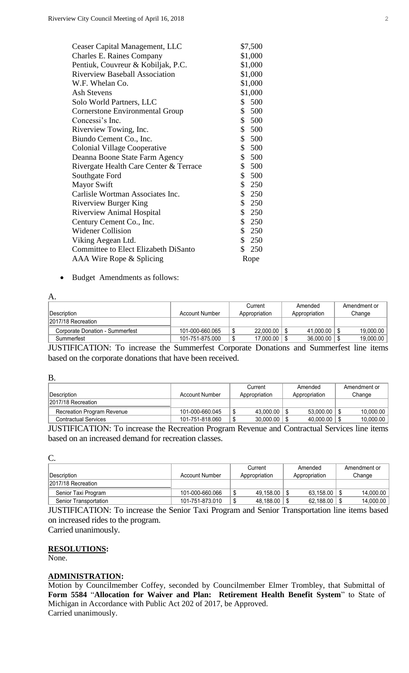| Ceaser Capital Management, LLC              | \$7,500               |
|---------------------------------------------|-----------------------|
| <b>Charles E. Raines Company</b>            | \$1,000               |
| Pentiuk, Couvreur & Kobiljak, P.C.          | \$1,000               |
| <b>Riverview Baseball Association</b>       | \$1,000               |
| W.F. Whelan Co.                             | \$1,000               |
| Ash Stevens                                 | \$1,000               |
| Solo World Partners, LLC                    | \$500                 |
| <b>Cornerstone Environmental Group</b>      | \$500                 |
| Concessi's Inc.                             | \$500                 |
| Riverview Towing, Inc.                      | \$500                 |
| Biundo Cement Co., Inc.                     | \$500                 |
| <b>Colonial Village Cooperative</b>         | \$500                 |
| Deanna Boone State Farm Agency              | \$500                 |
| Rivergate Health Care Center & Terrace      | \$500                 |
| Southgate Ford                              | \$<br>500             |
| <b>Mayor Swift</b>                          | \$250                 |
| Carlisle Wortman Associates Inc.            | \$250                 |
| <b>Riverview Burger King</b>                | \$250                 |
| <b>Riverview Animal Hospital</b>            | \$250                 |
| Century Cement Co., Inc.                    | \$250                 |
| <b>Widener Collision</b>                    | \$250                 |
| Viking Aegean Ltd.                          | \$250                 |
| <b>Committee to Elect Elizabeth DiSanto</b> | $\mathbb{S}^-$<br>250 |
| AAA Wire Rope & Splicing                    | Rope                  |
|                                             |                       |

Budget Amendments as follows:

| А.                              |                 |    |               |  |               |     |              |
|---------------------------------|-----------------|----|---------------|--|---------------|-----|--------------|
|                                 |                 |    | Current       |  | Amended       |     | Amendment or |
| <b>IDescription</b>             | Account Number  |    | Appropriation |  | Appropriation |     | Change       |
| 2017/18 Recreation              |                 |    |               |  |               |     |              |
| Corporate Donation - Summerfest | 101-000-660.065 | ۰D | 22,000.00     |  | 41,000.00     | 1 S | 19,000.00    |
| Summerfest                      | 101-751-875.000 | Φ  | 17,000.00     |  | 36,000.00     |     | 19,000.00    |

JUSTIFICATION: To increase the Summerfest Corporate Donations and Summerfest line items based on the corporate donations that have been received.

| D.                                |                 |               |  |               |              |  |  |
|-----------------------------------|-----------------|---------------|--|---------------|--------------|--|--|
|                                   |                 | Current       |  | Amended       | Amendment or |  |  |
| Description                       | Account Number  | Appropriation |  | Appropriation | Change       |  |  |
| 2017/18 Recreation                |                 |               |  |               |              |  |  |
| <b>Recreation Program Revenue</b> | 101-000-660.045 | 43.000.00     |  | 53.000.00     | 10.000.00    |  |  |
| <b>Contractual Services</b>       | 101-751-818.060 | 30,000.00     |  | 40.000.00     | 10,000.00    |  |  |

JUSTIFICATION: To increase the Recreation Program Revenue and Contractual Services line items based on an increased demand for recreation classes.

| ÷<br>an an  |              |        |
|-------------|--------------|--------|
| s<br>×<br>× | I<br>۰.<br>v | $\sim$ |

B.

|                       |                 | Current         | Amended       | Amendment or |  |  |  |
|-----------------------|-----------------|-----------------|---------------|--------------|--|--|--|
| ∣Description_         | Account Number  | Appropriation   | Appropriation | Change       |  |  |  |
| 2017/18 Recreation    |                 |                 |               |              |  |  |  |
| Senior Taxi Program   | 101-000-660.066 | Ŝ.<br>49.158.00 | 63.158.00     | 14.000.00    |  |  |  |
| Senior Transportation | 101-751-873.010 | 48,188.00       | 62,188.00     | 14,000.00    |  |  |  |

JUSTIFICATION: To increase the Senior Taxi Program and Senior Transportation line items based on increased rides to the program.

Carried unanimously.

**RESOLUTIONS:**

None.

#### **ADMINISTRATION:**

Motion by Councilmember Coffey, seconded by Councilmember Elmer Trombley, that Submittal of **Form 5584** "**Allocation for Waiver and Plan: Retirement Health Benefit System**" to State of Michigan in Accordance with Public Act 202 of 2017, be Approved. Carried unanimously.